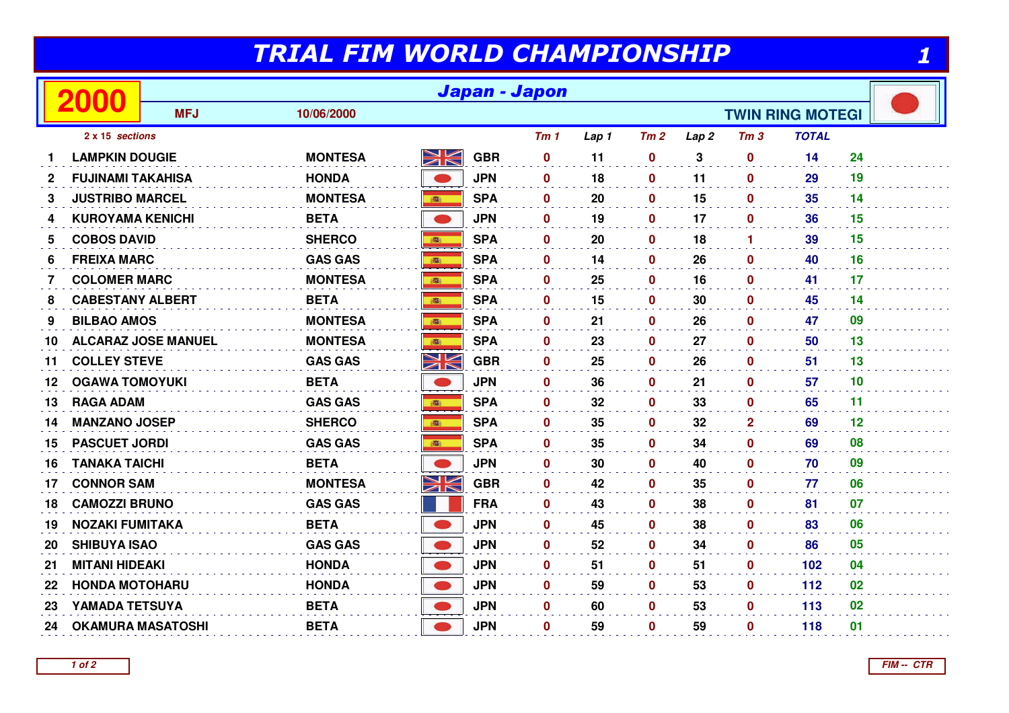## TRIAL FIM WORLD CHAMPIONSHIP

| 2000<br><b>MFJ</b><br>10/06/2000<br><b>TWIN RING MOTEGI</b><br><b>TOTAL</b><br>2 x 15 sections<br>Tm <sub>1</sub><br>Tm2<br>Tm <sub>3</sub><br>Lap 1<br>Lap <sub>2</sub><br><u>М</u><br>7N<br><b>MONTESA</b><br><b>GBR</b><br>3<br>14<br><b>LAMPKIN DOUGIE</b><br>$\mathbf 0$<br>11<br>$\boldsymbol{0}$<br>$\mathbf{0}$<br><b>HONDA</b><br><b>JPN</b><br>$\mathbf 0$<br>18<br>0<br>11<br>29<br>$\mathbf{2}$<br><b>FUJINAMI TAKAHISA</b><br>$\mathbf{0}$<br><b>SPA</b><br>3<br><b>JUSTRIBO MARCEL</b><br><b>MONTESA</b><br>$\mathbf 0$<br>20<br>$\mathbf 0$<br>15<br>$\mathbf 0$<br>35<br>高<br><b>BETA</b><br><b>JPN</b><br>17<br>36<br><b>KUROYAMA KENICHI</b><br>$\mathbf 0$<br>19<br>0<br>$\mathbf 0$<br>4<br><b>SHERCO</b><br><b>SPA</b><br>39<br><b>COBOS DAVID</b><br>$\mathbf{0}$<br>20<br>0<br>18<br>5<br>$\blacktriangleleft$<br>● |    |
|--------------------------------------------------------------------------------------------------------------------------------------------------------------------------------------------------------------------------------------------------------------------------------------------------------------------------------------------------------------------------------------------------------------------------------------------------------------------------------------------------------------------------------------------------------------------------------------------------------------------------------------------------------------------------------------------------------------------------------------------------------------------------------------------------------------------------------------------|----|
|                                                                                                                                                                                                                                                                                                                                                                                                                                                                                                                                                                                                                                                                                                                                                                                                                                            |    |
|                                                                                                                                                                                                                                                                                                                                                                                                                                                                                                                                                                                                                                                                                                                                                                                                                                            |    |
|                                                                                                                                                                                                                                                                                                                                                                                                                                                                                                                                                                                                                                                                                                                                                                                                                                            | 24 |
|                                                                                                                                                                                                                                                                                                                                                                                                                                                                                                                                                                                                                                                                                                                                                                                                                                            | 19 |
|                                                                                                                                                                                                                                                                                                                                                                                                                                                                                                                                                                                                                                                                                                                                                                                                                                            | 14 |
|                                                                                                                                                                                                                                                                                                                                                                                                                                                                                                                                                                                                                                                                                                                                                                                                                                            | 15 |
|                                                                                                                                                                                                                                                                                                                                                                                                                                                                                                                                                                                                                                                                                                                                                                                                                                            | 15 |
| <b>GAS GAS</b><br><b>SPA</b><br>26<br><b>FREIXA MARC</b><br>$\mathbf{0}$<br>14<br>$\mathbf 0$<br>$\mathbf{0}$<br>40<br>6<br>高                                                                                                                                                                                                                                                                                                                                                                                                                                                                                                                                                                                                                                                                                                              | 16 |
| <b>SPA</b><br>16<br><b>COLOMER MARC</b><br><b>MONTESA</b><br>$\mathbf 0$<br>25<br>$\mathbf 0$<br>$\mathbf 0$<br>41<br>$\overline{7}$<br>●                                                                                                                                                                                                                                                                                                                                                                                                                                                                                                                                                                                                                                                                                                  | 17 |
| <b>BETA</b><br><b>SPA</b><br><b>CABESTANY ALBERT</b><br>$\mathbf 0$<br>15<br>0<br>30<br>$\mathbf 0$<br>45<br>8                                                                                                                                                                                                                                                                                                                                                                                                                                                                                                                                                                                                                                                                                                                             | 14 |
| <b>MONTESA</b><br><b>SPA</b><br>9<br><b>BILBAO AMOS</b><br>$\mathbf{0}$<br>21<br>$\mathbf 0$<br>26<br>$\mathbf 0$<br>47<br>1                                                                                                                                                                                                                                                                                                                                                                                                                                                                                                                                                                                                                                                                                                               | 09 |
| <b>SPA</b><br>23<br><b>ALCARAZ JOSE MANUEL</b><br><b>MONTESA</b><br>$\mathbf 0$<br>$\mathbf 0$<br>27<br>$\mathbf{0}$<br>50<br>10<br>●                                                                                                                                                                                                                                                                                                                                                                                                                                                                                                                                                                                                                                                                                                      | 13 |
| NK<br><b>GBR</b><br><b>GAS GAS</b><br>25<br><b>COLLEY STEVE</b><br>$\mathbf{0}$<br>0<br>26<br>$\mathbf 0$<br>51<br>11                                                                                                                                                                                                                                                                                                                                                                                                                                                                                                                                                                                                                                                                                                                      | 13 |
| <b>OGAWA TOMOYUKI</b><br><b>BETA</b><br><b>JPN</b><br>$\mathbf{0}$<br>36<br>$\bf{0}$<br>21<br>57<br>$\mathbf{0}$<br>12                                                                                                                                                                                                                                                                                                                                                                                                                                                                                                                                                                                                                                                                                                                     | 10 |
| <b>GAS GAS</b><br><b>SPA</b><br>32<br>13<br><b>RAGA ADAM</b><br>藏<br>$\mathbf{0}$<br>0<br>33<br>$\mathbf 0$<br>65                                                                                                                                                                                                                                                                                                                                                                                                                                                                                                                                                                                                                                                                                                                          | 11 |
| <b>SHERCO</b><br><b>SPA</b><br>69<br><b>MANZANO JOSEP</b><br>$\mathbf{0}$<br>35<br>0<br>32<br>$\mathbf{2}$<br>14<br>高                                                                                                                                                                                                                                                                                                                                                                                                                                                                                                                                                                                                                                                                                                                      | 12 |
| <b>GAS GAS</b><br><b>SPA</b><br>35<br>69<br><b>PASCUET JORDI</b><br>$\mathbf 0$<br>0<br>34<br>$\mathbf 0$<br>15                                                                                                                                                                                                                                                                                                                                                                                                                                                                                                                                                                                                                                                                                                                            | 08 |
| <b>TANAKA TAICHI</b><br><b>BETA</b><br><b>JPN</b><br>70<br>$\mathbf{0}$<br>30<br>0<br>40<br>$\mathbf{0}$<br>16                                                                                                                                                                                                                                                                                                                                                                                                                                                                                                                                                                                                                                                                                                                             | 09 |
| XK<br><b>MONTESA</b><br><b>GBR</b><br><b>CONNOR SAM</b><br>42<br>35<br>$\mathbf 0$<br>$\mathbf 0$<br>$\mathbf{0}$<br>77<br>17                                                                                                                                                                                                                                                                                                                                                                                                                                                                                                                                                                                                                                                                                                              | 06 |
| <b>CAMOZZI BRUNO</b><br><b>GAS GAS</b><br><b>FRA</b><br>$\mathbf 0$<br>43<br>0<br>38<br>$\mathbf 0$<br>81<br>18                                                                                                                                                                                                                                                                                                                                                                                                                                                                                                                                                                                                                                                                                                                            | 07 |
| <b>JPN</b><br><b>NOZAKI FUMITAKA</b><br><b>BETA</b><br>38<br>83<br>$\mathbf{0}$<br>45<br>0<br>$\mathbf 0$<br>19                                                                                                                                                                                                                                                                                                                                                                                                                                                                                                                                                                                                                                                                                                                            | 06 |
| <b>SHIBUYA ISAO</b><br><b>GAS GAS</b><br><b>JPN</b><br>$\mathbf 0$<br>52<br>$\mathbf 0$<br>34<br>$\mathbf 0$<br>86<br>20                                                                                                                                                                                                                                                                                                                                                                                                                                                                                                                                                                                                                                                                                                                   | 05 |
| <b>HONDA</b><br><b>JPN</b><br><b>MITANI HIDEAKI</b><br>$\mathbf 0$<br>51<br>0<br>51<br>$\mathbf 0$<br>102<br>21                                                                                                                                                                                                                                                                                                                                                                                                                                                                                                                                                                                                                                                                                                                            | 04 |
| <b>HONDA</b><br><b>JPN</b><br>59<br>0<br>53<br>112<br><b>HONDA MOTOHARU</b><br>$\mathbf{0}$<br>$\mathbf 0$<br>22                                                                                                                                                                                                                                                                                                                                                                                                                                                                                                                                                                                                                                                                                                                           | 02 |
| YAMADA TETSUYA<br><b>BETA</b><br><b>JPN</b><br>113<br>$\mathbf{0}$<br>60<br>0<br>53<br>$\mathbf 0$<br>23                                                                                                                                                                                                                                                                                                                                                                                                                                                                                                                                                                                                                                                                                                                                   | 02 |
| <b>JPN</b><br><b>BETA</b><br>$\mathbf 0$<br>59<br>0<br>59<br>118<br><b>OKAMURA MASATOSHI</b><br>$\mathbf 0$<br>24                                                                                                                                                                                                                                                                                                                                                                                                                                                                                                                                                                                                                                                                                                                          |    |

**1 of 2**

1